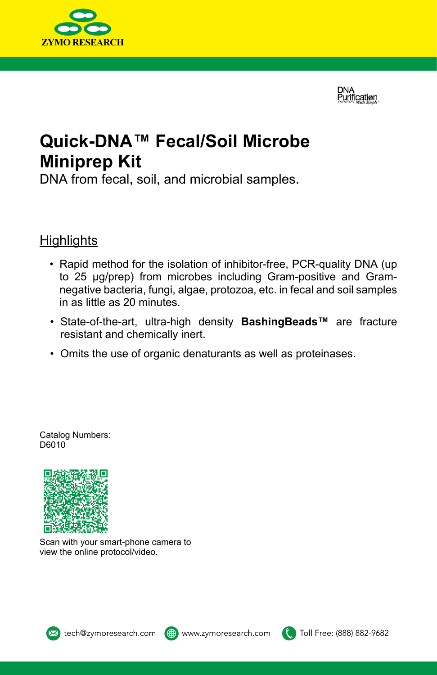**DNA** Purification



# **Quick-DNA™ Fecal/Soil Microbe Miniprep Kit**

DNA from fecal, soil, and microbial samples.

## **Highlights**

- Rapid method for the isolation of inhibitor-free, PCR-quality DNA (up to 25 µg/prep) from microbes including Gram-positive and Gramnegative bacteria, fungi, algae, protozoa, etc. in fecal and soil samples in as little as 20 minutes.
- State-of-the-art, ultra-high density **BashingBeads™** are fracture resistant and chemically inert.
- Omits the use of organic denaturants as well as proteinases.

Catalog Numbers: D6010



Scan with your smart-phone camera to view the online protocol/video.





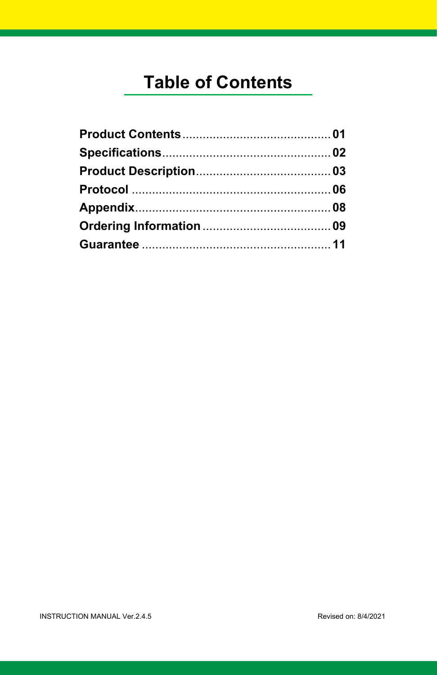# **Table of Contents**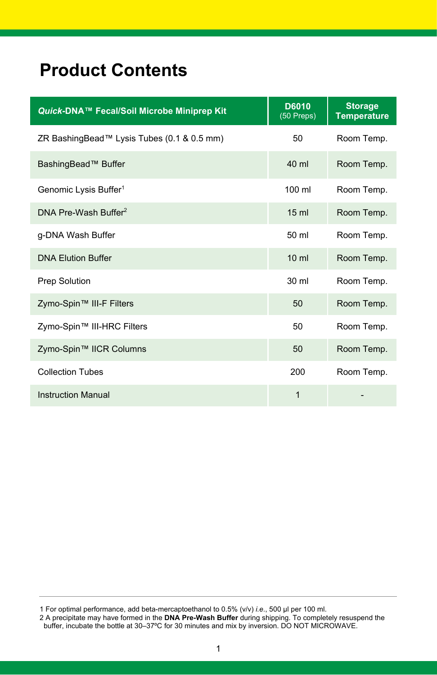# **Product Contents**

| Quick-DNA™ Fecal/Soil Microbe Miniprep Kit | D6010<br>$(50$ Preps) | <b>Storage</b><br><b>Temperature</b> |
|--------------------------------------------|-----------------------|--------------------------------------|
| ZR BashingBead™ Lysis Tubes (0.1 & 0.5 mm) | 50                    | Room Temp.                           |
| BashingBead™ Buffer                        | 40 ml                 | Room Temp.                           |
| Genomic Lysis Buffer <sup>1</sup>          | 100 ml                | Room Temp.                           |
| DNA Pre-Wash Buffer <sup>2</sup>           | 15 <sub>ml</sub>      | Room Temp.                           |
| g-DNA Wash Buffer                          | 50 ml                 | Room Temp.                           |
| <b>DNA Elution Buffer</b>                  | $10 \mathrm{m}$       | Room Temp.                           |
| <b>Prep Solution</b>                       | 30 ml                 | Room Temp.                           |
| Zymo-Spin™ III-F Filters                   | 50                    | Room Temp.                           |
| Zymo-Spin™ III-HRC Filters                 | 50                    | Room Temp.                           |
| Zymo-Spin™ IICR Columns                    | 50                    | Room Temp.                           |
| <b>Collection Tubes</b>                    | 200                   | Room Temp.                           |
| <b>Instruction Manual</b>                  | 1                     |                                      |

<sup>1</sup> For optimal performance, add beta-mercaptoethanol to 0.5% (v/v) *i.e*., 500 µl per 100 ml.

<sup>2</sup> A precipitate may have formed in the **DNA Pre-Wash Buffer** during shipping. To completely resuspend the buffer, incubate the bottle at 30–37ºC for 30 minutes and mix by inversion. DO NOT MICROWAVE.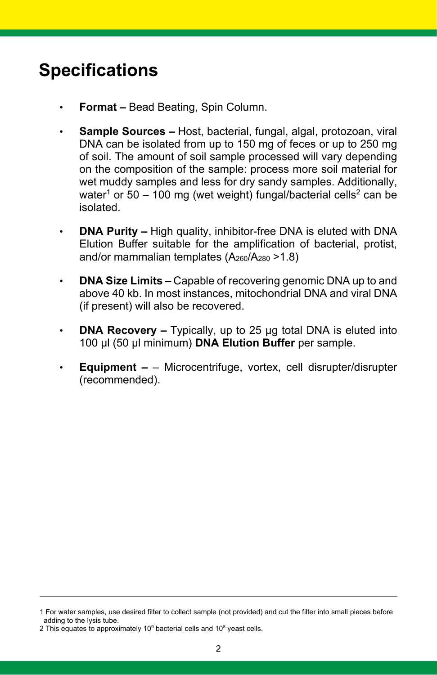# **Specifications**

- **Format –** Bead Beating, Spin Column.
- **Sample Sources –** Host, bacterial, fungal, algal, protozoan, viral DNA can be isolated from up to 150 mg of feces or up to 250 mg of soil. The amount of soil sample processed will vary depending on the composition of the sample: process more soil material for wet muddy samples and less for dry sandy samples. Additionally, water<sup>1</sup> or 50 – 100 mg (wet weight) fungal/bacterial cells<sup>2</sup> can be isolated.
- **DNA Purity –** High quality, inhibitor-free DNA is eluted with DNA Elution Buffer suitable for the amplification of bacterial, protist, and/or mammalian templates (A260/A280 >1.8)
- **DNA Size Limits –** Capable of recovering genomic DNA up to and above 40 kb. In most instances, mitochondrial DNA and viral DNA (if present) will also be recovered.
- **DNA Recovery –** Typically, up to 25 µg total DNA is eluted into 100 µl (50 µl minimum) **DNA Elution Buffer** per sample.
- **Equipment –** Microcentrifuge, vortex, cell disrupter/disrupter (recommended).

<sup>1</sup> For water samples, use desired filter to collect sample (not provided) and cut the filter into small pieces before adding to the lysis tube.

<sup>2</sup> This equates to approximately  $10^9$  bacterial cells and  $10^8$  yeast cells.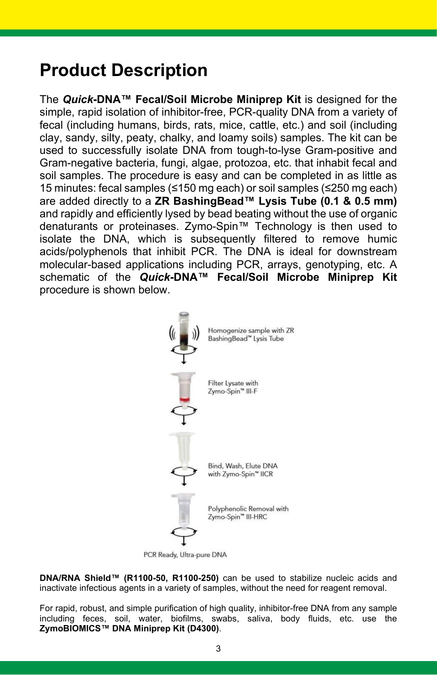# **Product Description**

The *Quick***-DNA™ Fecal/Soil Microbe Miniprep Kit** is designed for the simple, rapid isolation of inhibitor-free, PCR-quality DNA from a variety of fecal (including humans, birds, rats, mice, cattle, etc.) and soil (including clay, sandy, silty, peaty, chalky, and loamy soils) samples. The kit can be used to successfully isolate DNA from tough-to-lyse Gram-positive and Gram-negative bacteria, fungi, algae, protozoa, etc. that inhabit fecal and soil samples. The procedure is easy and can be completed in as little as 15 minutes: fecal samples (≤150 mg each) or soil samples (≤250 mg each) are added directly to a **ZR BashingBead™ Lysis Tube (0.1 & 0.5 mm)** and rapidly and efficiently lysed by bead beating without the use of organic denaturants or proteinases. Zymo-Spin™ Technology is then used to isolate the DNA, which is subsequently filtered to remove humic acids/polyphenols that inhibit PCR. The DNA is ideal for downstream molecular-based applications including PCR, arrays, genotyping, etc. A schematic of the *Quick***-DNA™ Fecal/Soil Microbe Miniprep Kit** procedure is shown below.



PCR Ready, Ultra-pure DNA

**DNA/RNA Shield™ (R1100-50, R1100-250)** can be used to stabilize nucleic acids and inactivate infectious agents in a variety of samples, without the need for reagent removal.

For rapid, robust, and simple purification of high quality, inhibitor-free DNA from any sample including feces, soil, water, biofilms, swabs, saliva, body fluids, etc. use the **ZymoBIOMICS™ DNA Miniprep Kit (D4300)**.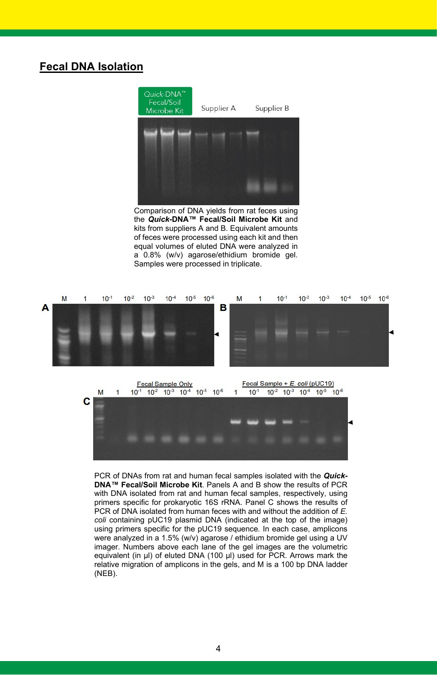### **Fecal DNA Isolation**



the *Quick***-DNA™ Fecal/Soil Microbe Kit** and kits from suppliers A and B. Equivalent amounts of feces were processed using each kit and then equal volumes of eluted DNA were analyzed in a 0.8% (w/v) agarose/ethidium bromide gel. Samples were processed in triplicate.





PCR of DNAs from rat and human fecal samples isolated with the *Quick***-DNA™ Fecal/Soil Microbe Kit**. Panels A and B show the results of PCR with DNA isolated from rat and human fecal samples, respectively, using primers specific for prokaryotic 16S rRNA. Panel C shows the results of PCR of DNA isolated from human feces with and without the addition of *E. coli* containing pUC19 plasmid DNA (indicated at the top of the image) using primers specific for the pUC19 sequence. In each case, amplicons were analyzed in a 1.5% (w/v) agarose / ethidium bromide gel using a UV imager. Numbers above each lane of the gel images are the volumetric equivalent (in µl) of eluted DNA (100 µl) used for PCR. Arrows mark the relative migration of amplicons in the gels, and M is a 100 bp DNA ladder (NEB).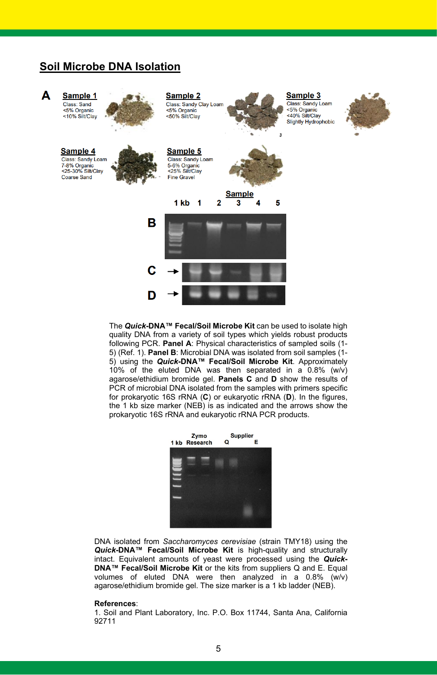### **Soil Microbe DNA Isolation**



The *Quick***-DNA™ Fecal/Soil Microbe Kit** can be used to isolate high quality DNA from a variety of soil types which yields robust products following PCR. **Panel A**: Physical characteristics of sampled soils (1- 5) (Ref. 1). **Panel B**: Microbial DNA was isolated from soil samples (1- 5) using the *Quick***-DNA™ Fecal/Soil Microbe Kit**. Approximately 10% of the eluted DNA was then separated in a 0.8% (w/v) agarose/ethidium bromide gel. **Panels C** and **D** show the results of PCR of microbial DNA isolated from the samples with primers specific for prokaryotic 16S rRNA (**C**) or eukaryotic rRNA (**D**). In the figures, the 1 kb size marker (NEB) is as indicated and the arrows show the prokaryotic 16S rRNA and eukaryotic rRNA PCR products.



DNA isolated from *Saccharomyces cerevisiae* (strain TMY18) using the *Quick***-DNA™ Fecal/Soil Microbe Kit** is high-quality and structurally intact. Equivalent amounts of yeast were processed using the *Quick***-DNA™ Fecal/Soil Microbe Kit** or the kits from suppliers Q and E. Equal volumes of eluted DNA were then analyzed in a 0.8% (w/v) agarose/ethidium bromide gel. The size marker is a 1 kb ladder (NEB).

### **References**:

1. Soil and Plant Laboratory, Inc. P.O. Box 11744, Santa Ana, California 92711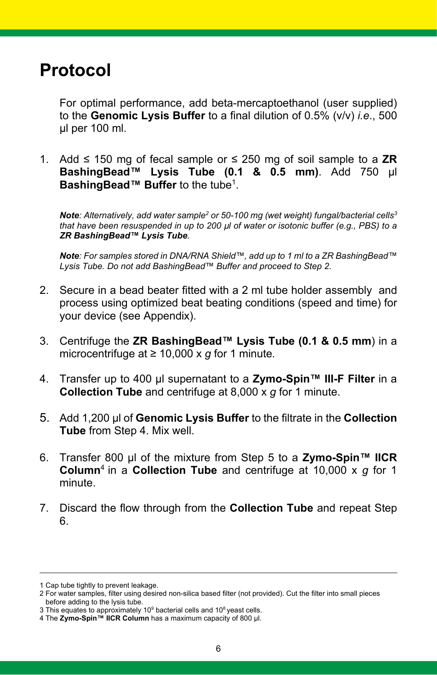## **Protocol**

For optimal performance, add beta-mercaptoethanol (user supplied) to the **Genomic Lysis Buffer** to a final dilution of 0.5% (v/v) *i.e*., 500 µl per 100 ml.

1. Add ≤ 150 mg of fecal sample or ≤ 250 mg of soil sample to a **ZR BashingBead™ Lysis Tube (0.1 & 0.5 mm)**. Add 750 µl **BashingBead™ Buffer** to the tube<sup>1</sup>.

**Note**: Alternatively, add water sample<sup>2</sup> or 50-100 mg (wet weight) fungal/bacterial cells<sup>3</sup> *that have been resuspended in up to 200 µl of water or isotonic buffer (e.g., PBS) to a ZR BashingBead™ Lysis Tube.*

*Note: For samples stored in DNA/RNA Shield™, add up to 1 ml to a ZR BashingBead™ Lysis Tube. Do not add BashingBead™ Buffer and proceed to Step 2.*

- 2. Secure in a bead beater fitted with a 2 ml tube holder assembly and process using optimized beat beating conditions (speed and time) for your device (see Appendix).
- 3. Centrifuge the **ZR BashingBead™ Lysis Tube (0.1 & 0.5 mm**) in a microcentrifuge at ≥ 10,000 x *g* for 1 minute*.*
- 4. Transfer up to 400 µl supernatant to a **Zymo-Spin™ III-F Filter** in a **Collection Tube** and centrifuge at 8,000 x *g* for 1 minute.
- 5. Add 1,200 µl of **Genomic Lysis Buffer** to the filtrate in the **Collection Tube** from Step 4. Mix well.
- 6. Transfer 800 µl of the mixture from Step 5 to a **Zymo-Spin™ IICR Column**<sup>4</sup> in a **Collection Tube** and centrifuge at 10,000 x *g* for 1 minute.
- 7. Discard the flow through from the **Collection Tube** and repeat Step 6.

<sup>1</sup> Cap tube tightly to prevent leakage.

<sup>2</sup> For water samples, filter using desired non-silica based filter (not provided). Cut the filter into small pieces before adding to the lysis tube.

<sup>3</sup> This equates to approximately 10<sup>9</sup> bacterial cells and 10<sup>8</sup> yeast cells.

<sup>4</sup> The **Zymo-Spin™ IICR Column** has a maximum capacity of 800 µl.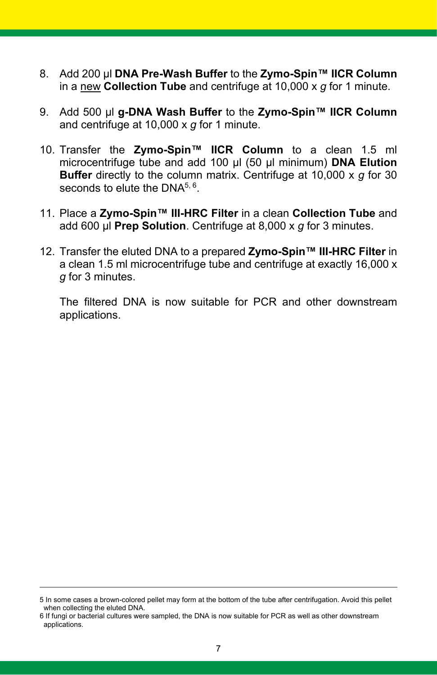- 8. Add 200 µl **DNA Pre-Wash Buffer** to the **Zymo-Spin™ IICR Column** in a new **Collection Tube** and centrifuge at 10,000 x *g* for 1 minute.
- 9. Add 500 µl **g-DNA Wash Buffer** to the **Zymo-Spin™ IICR Column** and centrifuge at 10,000 x *g* for 1 minute.
- 10. Transfer the **Zymo-Spin™ IICR Column** to a clean 1.5 ml microcentrifuge tube and add 100 µl (50 µl minimum) **DNA Elution Buffer** directly to the column matrix. Centrifuge at 10,000 x *g* for 30 seconds to elute the  $DNA^{5,6}$ .
- 11. Place a **Zymo-Spin™ III-HRC Filter** in a clean **Collection Tube** and add 600 µl **Prep Solution**. Centrifuge at 8,000 x *g* for 3 minutes.
- 12. Transfer the eluted DNA to a prepared **Zymo-Spin™ III-HRC Filter** in a clean 1.5 ml microcentrifuge tube and centrifuge at exactly 16,000 x *g* for 3 minutes.

The filtered DNA is now suitable for PCR and other downstream applications.

<sup>5</sup> In some cases a brown-colored pellet may form at the bottom of the tube after centrifugation. Avoid this pellet when collecting the eluted DNA.

<sup>6</sup> If fungi or bacterial cultures were sampled, the DNA is now suitable for PCR as well as other downstream applications.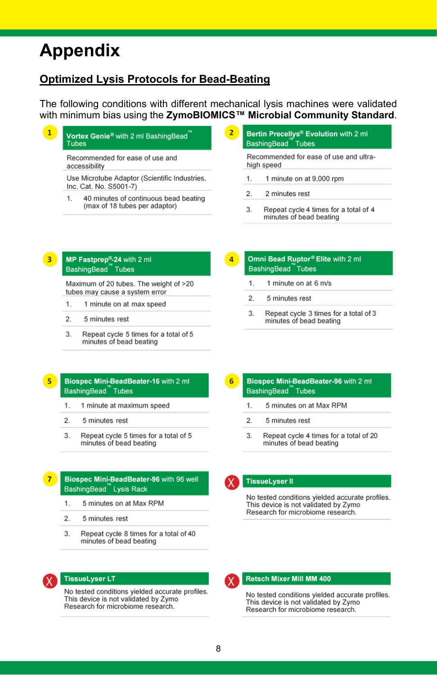## **Appendix**

### **Optimized Lysis Protocols for Bead-Beating**

The following conditions with different mechanical lysis machines were validated with minimum bias using the **ZymoBIOMICS™ Microbial Community Standard**.

 $\mathbf{1}$ Vortex Genie<sup>®</sup> with 2 ml BashingBead **Tubes** Recommended for ease of use and

accessibility

Use Microtube Adaptor (Scientific Industries, Inc. Cat. No. S5001-7)

- $\mathbf{1}$ 40 minutes of continuous bead beating (max of 18 tubes per adaptor)
- $\overline{2}$ Bertin Precellys<sup>®</sup> Evolution with 2 ml BashingBead<sup>™</sup>Tubes

Recommended for ease of use and ultrahigh speed

- $\mathbf{1}$ . 1 minute on at 9,000 rpm
- $\overline{2}$ . 2 minutes rest
- 3. Repeat cycle 4 times for a total of 4 minutes of bead beating

#### $\overline{3}$ MP Fastorep<sup>®</sup>-24 with 2 ml BashingBead Tubes

Maximum of 20 tubes. The weight of >20 tubes may cause a system error

- $\mathbf{1}$ 1 minute on at max speed
- $\overline{2}$ . 5 minutes rest
- $3.$ Repeat cycle 5 times for a total of 5 minutes of bead beating

### Omni Bead Ruptor® Elite with 2 ml BashingBead Tubes

- 1 minute on at 6 m/s  $\mathbf{1}$
- $\overline{2}$ . 5 minutes rest
- $\mathbf{R}$ Repeat cycle 3 times for a total of 3 minutes of bead beating

### Biospec Mini-BeadBeater-16 with 2 ml BashingBead Tubes

- 1 minute at maximum speed  $1.$
- $\overline{2}$ 5 minutes rest
- Repeat cycle 5 times for a total of 5 3 minutes of bead beating

### Biospec Mini-BeadBeater-96 with 96 well BashingBead Lysis Rack

- $\mathbf{1}$ 5 minutes on at May RPM
- $\overline{2}$ . 5 minutes rest
- 3. Repeat cycle 8 times for a total of 40 minutes of bead beating



### **TissueLyser LT**

No tested conditions yielded accurate profiles. This device is not validated by Zymo Research for microbiome research.

#### Biospec Mini-BeadBeater-96 with 2 ml 6 BashingBead Tubes

- 5 minutes on at Max RPM  $\mathbf{1}$
- $\overline{2}$ . 5 minutes rest
- Repeat cycle 4 times for a total of 20 3 minutes of bead beating



### **TissueLyser II**

No tested conditions yielded accurate profiles. This device is not validated by Zymo Research for microbiome research.



No tested conditions yielded accurate profiles. This device is not validated by Zymo Research for microbiome research.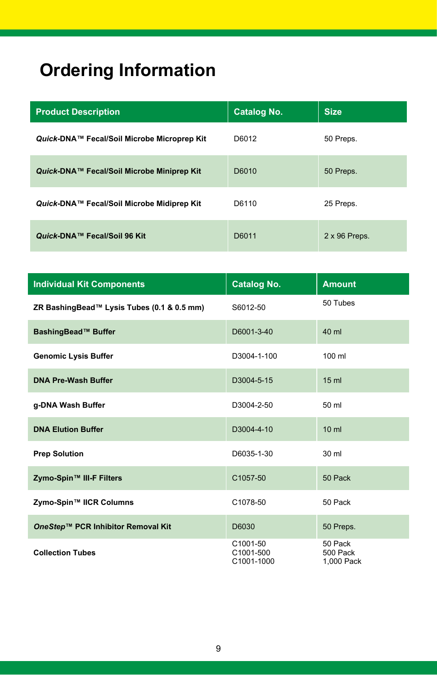# **Ordering Information**

| <b>Product Description</b>                  | <b>Catalog No.</b> | <b>Size</b>          |
|---------------------------------------------|--------------------|----------------------|
| Quick-DNA™ Fecal/Soil Microbe Microprep Kit | D6012              | 50 Preps.            |
| Quick-DNA™ Fecal/Soil Microbe Miniprep Kit  | D6010              | 50 Preps.            |
| Quick-DNA™ Fecal/Soil Microbe Midiprep Kit  | D6110              | 25 Preps.            |
| Quick-DNA™ Fecal/Soil 96 Kit                | D6011              | $2 \times 96$ Preps. |

| <b>Individual Kit Components</b>           | <b>Catalog No.</b>                  | <b>Amount</b>                     |
|--------------------------------------------|-------------------------------------|-----------------------------------|
| ZR BashingBead™ Lysis Tubes (0.1 & 0.5 mm) | S6012-50                            | 50 Tubes                          |
| BashingBead™ Buffer                        | D6001-3-40                          | 40 ml                             |
| <b>Genomic Lysis Buffer</b>                | D3004-1-100                         | 100 ml                            |
| <b>DNA Pre-Wash Buffer</b>                 | D3004-5-15                          | 15 <sub>ml</sub>                  |
| g-DNA Wash Buffer                          | D3004-2-50                          | 50 ml                             |
| <b>DNA Elution Buffer</b>                  | D3004-4-10                          | $10 \mathrm{m}$                   |
| <b>Prep Solution</b>                       | D6035-1-30                          | 30 ml                             |
| Zymo-Spin™ III-F Filters                   | C1057-50                            | 50 Pack                           |
| Zymo-Spin™ IICR Columns                    | C1078-50                            | 50 Pack                           |
| OneStep™ PCR Inhibitor Removal Kit         | D6030                               | 50 Preps.                         |
| <b>Collection Tubes</b>                    | C1001-50<br>C1001-500<br>C1001-1000 | 50 Pack<br>500 Pack<br>1,000 Pack |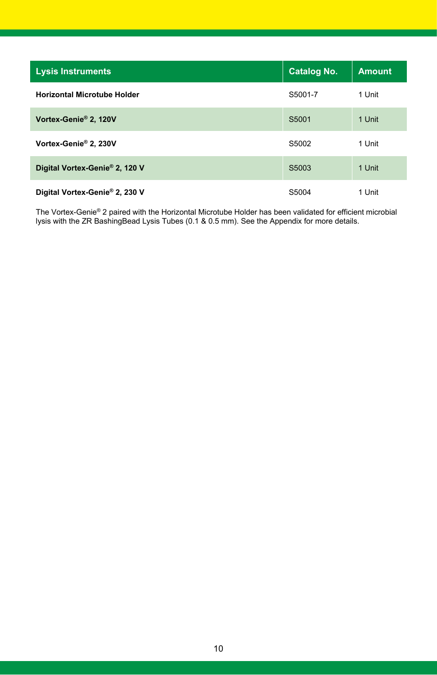| <b>Lysis Instruments</b>           | <b>Catalog No.</b> | <b>Amount</b> |
|------------------------------------|--------------------|---------------|
| <b>Horizontal Microtube Holder</b> | S5001-7            | 1 Unit        |
| Vortex-Genie® 2, 120V              | S5001              | 1 Unit        |
| Vortex-Genie® 2, 230V              | S5002              | 1 Unit        |
| Digital Vortex-Genie® 2, 120 V     | S <sub>5003</sub>  | 1 Unit        |
| Digital Vortex-Genie® 2, 230 V     | S5004              | 1 Unit        |

The Vortex-Genie® 2 paired with the Horizontal Microtube Holder has been validated for efficient microbial lysis with the ZR BashingBead Lysis Tubes (0.1 & 0.5 mm). See the Appendix for more details.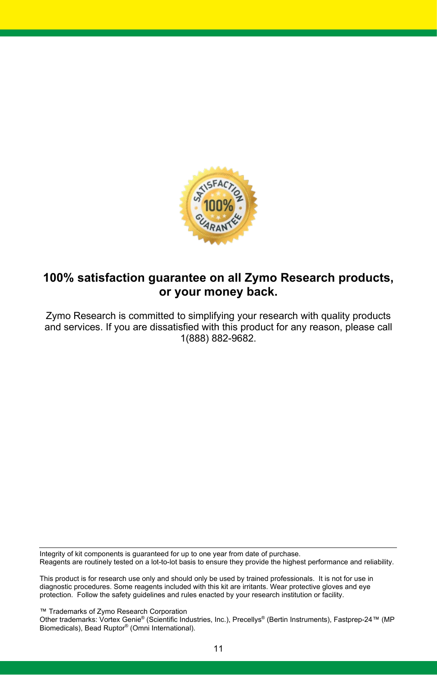

## **100% satisfaction guarantee on all Zymo Research products, or your money back.**

Zymo Research is committed to simplifying your research with quality products and services. If you are dissatisfied with this product for any reason, please call 1(888) 882-9682.

Integrity of kit components is guaranteed for up to one year from date of purchase. Reagents are routinely tested on a lot-to-lot basis to ensure they provide the highest performance and reliability.

This product is for research use only and should only be used by trained professionals. It is not for use in diagnostic procedures. Some reagents included with this kit are irritants. Wear protective gloves and eye protection. Follow the safety guidelines and rules enacted by your research institution or facility.

™ Trademarks of Zymo Research Corporation

Other trademarks: Vortex Genie® (Scientific Industries, Inc.), Precellys® (Bertin Instruments), Fastprep-24™ (MP Biomedicals), Bead Ruptor® (Omni International).